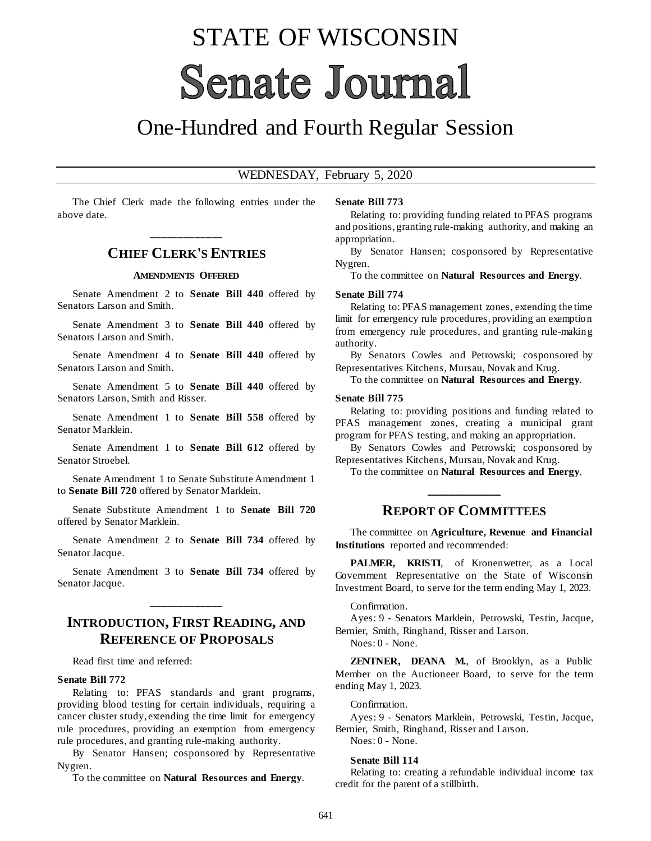# STATE OF WISCONSIN **Senate Journal**

## One-Hundred and Fourth Regular Session

#### WEDNESDAY, February 5, 2020

The Chief Clerk made the following entries under the above date.

## **\_\_\_\_\_\_\_\_\_\_\_\_\_ CHIEF CLERK'S ENTRIES**

#### **AMENDMENTS OFFERED**

Senate Amendment 2 to **Senate Bill 440** offered by Senators Larson and Smith.

Senate Amendment 3 to **Senate Bill 440** offered by Senators Larson and Smith.

Senate Amendment 4 to **Senate Bill 440** offered by Senators Larson and Smith.

Senate Amendment 5 to **Senate Bill 440** offered by Senators Larson, Smith and Risser.

Senate Amendment 1 to **Senate Bill 558** offered by Senator Marklein.

Senate Amendment 1 to **Senate Bill 612** offered by Senator Stroebel.

Senate Amendment 1 to Senate Substitute Amendment 1 to **Senate Bill 720** offered by Senator Marklein.

Senate Substitute Amendment 1 to **Senate Bill 720** offered by Senator Marklein.

Senate Amendment 2 to **Senate Bill 734** offered by Senator Jacque.

Senate Amendment 3 to **Senate Bill 734** offered by Senator Jacque.

## **INTRODUCTION, FIRST READING, AND REFERENCE OF PROPOSALS**

**\_\_\_\_\_\_\_\_\_\_\_\_\_**

Read first time and referred:

#### **Senate Bill 772**

Relating to: PFAS standards and grant programs, providing blood testing for certain individuals, requiring a cancer cluster study, extending the time limit for emergency rule procedures, providing an exemption from emergency rule procedures, and granting rule-making authority.

By Senator Hansen; cosponsored by Representative Nygren.

To the committee on **Natural Resources and Energy**.

#### **Senate Bill 773**

Relating to: providing funding related to PFAS programs and positions, granting rule-making authority, and making an appropriation.

By Senator Hansen; cosponsored by Representative Nygren.

To the committee on **Natural Resources and Energy**.

#### **Senate Bill 774**

Relating to: PFAS management zones, extending the time limit for emergency rule procedures, providing an exemption from emergency rule procedures, and granting rule-making authority.

By Senators Cowles and Petrowski; cosponsored by Representatives Kitchens, Mursau, Novak and Krug.

To the committee on **Natural Resources and Energy**.

#### **Senate Bill 775**

Relating to: providing positions and funding related to PFAS management zones, creating a municipal grant program for PFAS testing, and making an appropriation.

By Senators Cowles and Petrowski; cosponsored by Representatives Kitchens, Mursau, Novak and Krug.

To the committee on **Natural Resources and Energy**. **\_\_\_\_\_\_\_\_\_\_\_\_\_**

#### **REPORT OF COMMITTEES**

The committee on **Agriculture, Revenue and Financial Institutions** reported and recommended:

PALMER, KRISTI, of Kronenwetter, as a Local Government Representative on the State of Wisconsin Investment Board, to serve for the term ending May 1, 2023.

#### Confirmation.

Ayes: 9 - Senators Marklein, Petrowski, Testin, Jacque, Bernier, Smith, Ringhand, Risser and Larson.

Noes: 0 - None.

**ZENTNER, DEANA M.**, of Brooklyn, as a Public Member on the Auctioneer Board, to serve for the term ending May 1, 2023.

Confirmation.

Ayes: 9 - Senators Marklein, Petrowski, Testin, Jacque, Bernier, Smith, Ringhand, Risser and Larson.

Noes: 0 - None.

#### **Senate Bill 114**

Relating to: creating a refundable individual income tax credit for the parent of a stillbirth.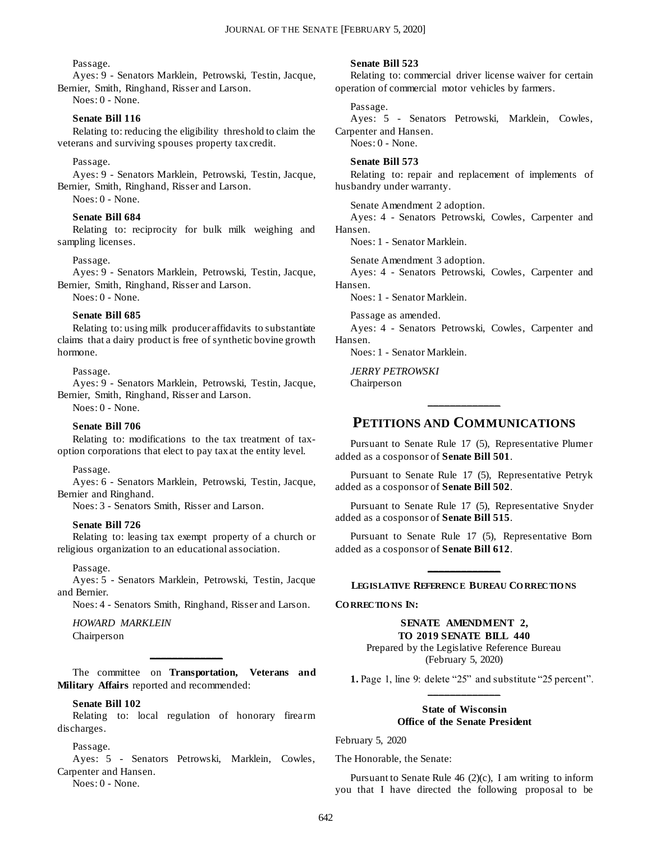#### Passage.

Ayes: 9 - Senators Marklein, Petrowski, Testin, Jacque, Bernier, Smith, Ringhand, Risser and Larson.

Noes: 0 - None.

#### **Senate Bill 116**

Relating to: reducing the eligibility threshold to claim the veterans and surviving spouses property tax credit.

#### Passage.

Ayes: 9 - Senators Marklein, Petrowski, Testin, Jacque, Bernier, Smith, Ringhand, Risser and Larson.

Noes: 0 - None.

#### **Senate Bill 684**

Relating to: reciprocity for bulk milk weighing and sampling licenses.

#### Passage.

Ayes: 9 - Senators Marklein, Petrowski, Testin, Jacque, Bernier, Smith, Ringhand, Risser and Larson.

Noes: 0 - None.

#### **Senate Bill 685**

Relating to: using milk producer affidavits to substantiate claims that a dairy product is free of synthetic bovine growth hormone.

Passage.

Ayes: 9 - Senators Marklein, Petrowski, Testin, Jacque, Bernier, Smith, Ringhand, Risser and Larson.

Noes: 0 - None.

#### **Senate Bill 706**

Relating to: modifications to the tax treatment of taxoption corporations that elect to pay tax at the entity level.

#### Passage.

Ayes: 6 - Senators Marklein, Petrowski, Testin, Jacque, Bernier and Ringhand.

Noes: 3 - Senators Smith, Risser and Larson.

#### **Senate Bill 726**

Relating to: leasing tax exempt property of a church or religious organization to an educational association.

Passage.

Ayes: 5 - Senators Marklein, Petrowski, Testin, Jacque and Bernier.

Noes: 4 - Senators Smith, Ringhand, Risser and Larson.

*HOWARD MARKLEIN*

Chairperson

The committee on **Transportation, Veterans and Military Affairs** reported and recommended:

**\_\_\_\_\_\_\_\_\_\_\_\_\_**

#### **Senate Bill 102**

Relating to: local regulation of honorary firearm discharges.

#### Passage.

Ayes: 5 - Senators Petrowski, Marklein, Cowles, Carpenter and Hansen.

Noes: 0 - None.

#### **Senate Bill 523**

Relating to: commercial driver license waiver for certain operation of commercial motor vehicles by farmers.

#### Passage.

Ayes: 5 - Senators Petrowski, Marklein, Cowles, Carpenter and Hansen.

Noes: 0 - None.

#### **Senate Bill 573**

Relating to: repair and replacement of implements of husbandry under warranty.

Senate Amendment 2 adoption.

Ayes: 4 - Senators Petrowski, Cowles, Carpenter and Hansen.

Noes: 1 - Senator Marklein.

Senate Amendment 3 adoption.

Ayes: 4 - Senators Petrowski, Cowles, Carpenter and Hansen.

Noes: 1 - Senator Marklein.

Passage as amended.

Ayes: 4 - Senators Petrowski, Cowles, Carpenter and Hansen.

Noes: 1 - Senator Marklein.

*JERRY PETROWSKI* Chairperson

### **PETITIONS AND COMMUNICATIONS**

**\_\_\_\_\_\_\_\_\_\_\_\_\_**

Pursuant to Senate Rule 17 (5), Representative Plumer added as a cosponsor of **Senate Bill 501**.

Pursuant to Senate Rule 17 (5), Representative Petryk added as a cosponsor of **Senate Bill 502**.

Pursuant to Senate Rule 17 (5), Representative Snyder added as a cosponsor of **Senate Bill 515**.

Pursuant to Senate Rule 17 (5), Representative Born added as a cosponsor of **Senate Bill 612**.

## **\_\_\_\_\_\_\_\_\_\_\_\_\_ LEGISLATIVE REFERENCE BUREAU CO RRECTIO NS**

**CO RRECTIO NS IN:**

#### **SENATE AMENDMENT 2, TO 2019 SENATE BILL 440**

Prepared by the Legislative Reference Bureau (February 5, 2020)

**1.** Page 1, line 9: delete "25" and substitute "25 percent". **\_\_\_\_\_\_\_\_\_\_\_\_\_**

#### **State of Wisconsin Office of the Senate President**

February 5, 2020

The Honorable, the Senate:

Pursuant to Senate Rule 46 (2)(c), I am writing to inform you that I have directed the following proposal to be